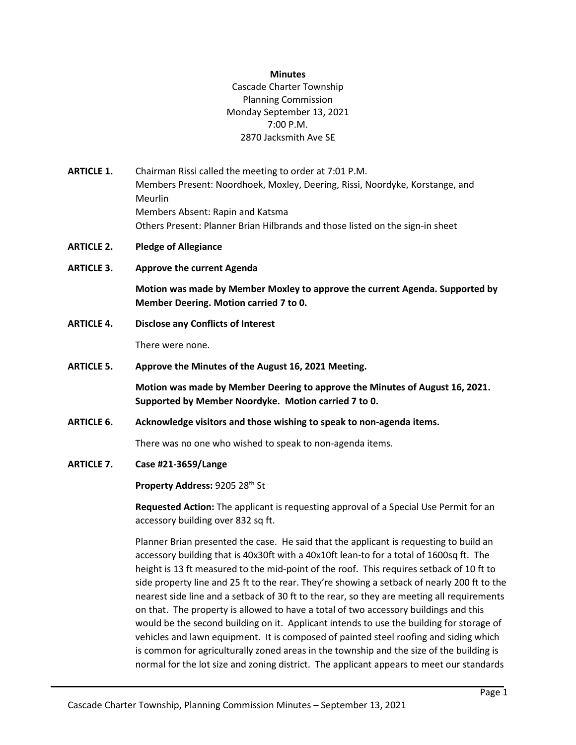#### **Minutes**

## Cascade Charter Township Planning Commission Monday September 13, 2021 7:00 P.M. 2870 Jacksmith Ave SE

- **ARTICLE 1.** Chairman Rissi called the meeting to order at 7:01 P.M. Members Present: Noordhoek, Moxley, Deering, Rissi, Noordyke, Korstange, and Meurlin Members Absent: Rapin and Katsma Others Present: Planner Brian Hilbrands and those listed on the sign-in sheet
- **ARTICLE 2. Pledge of Allegiance**
- **ARTICLE 3. Approve the current Agenda**

**Motion was made by Member Moxley to approve the current Agenda. Supported by Member Deering. Motion carried 7 to 0.**

**ARTICLE 4. Disclose any Conflicts of Interest**

There were none.

**ARTICLE 5. Approve the Minutes of the August 16, 2021 Meeting.**

**Motion was made by Member Deering to approve the Minutes of August 16, 2021. Supported by Member Noordyke. Motion carried 7 to 0.**

**ARTICLE 6. Acknowledge visitors and those wishing to speak to non-agenda items.**

There was no one who wished to speak to non-agenda items.

**ARTICLE 7. Case #21-3659/Lange**

**Property Address:** 9205 28th St

**Requested Action:** The applicant is requesting approval of a Special Use Permit for an accessory building over 832 sq ft.

Planner Brian presented the case. He said that the applicant is requesting to build an accessory building that is 40x30ft with a 40x10ft lean-to for a total of 1600sq ft. The height is 13 ft measured to the mid-point of the roof. This requires setback of 10 ft to side property line and 25 ft to the rear. They're showing a setback of nearly 200 ft to the nearest side line and a setback of 30 ft to the rear, so they are meeting all requirements on that. The property is allowed to have a total of two accessory buildings and this would be the second building on it. Applicant intends to use the building for storage of vehicles and lawn equipment. It is composed of painted steel roofing and siding which is common for agriculturally zoned areas in the township and the size of the building is normal for the lot size and zoning district. The applicant appears to meet our standards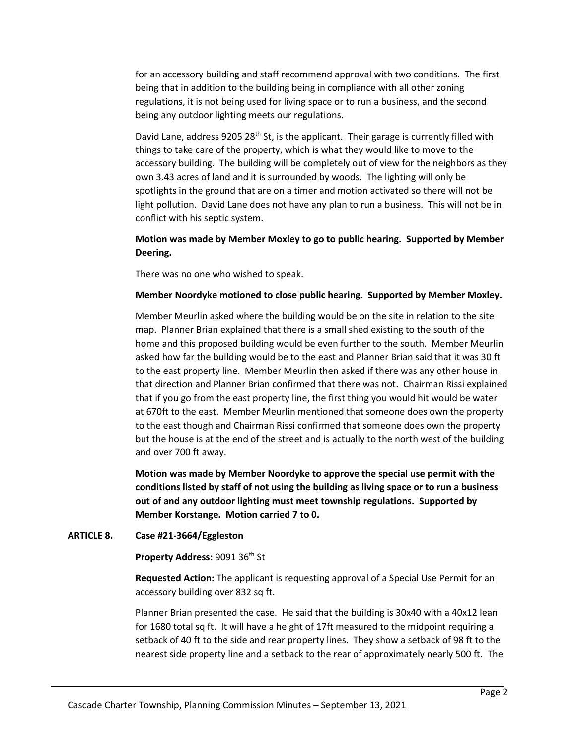for an accessory building and staff recommend approval with two conditions. The first being that in addition to the building being in compliance with all other zoning regulations, it is not being used for living space or to run a business, and the second being any outdoor lighting meets our regulations.

David Lane, address 9205 28<sup>th</sup> St, is the applicant. Their garage is currently filled with things to take care of the property, which is what they would like to move to the accessory building. The building will be completely out of view for the neighbors as they own 3.43 acres of land and it is surrounded by woods. The lighting will only be spotlights in the ground that are on a timer and motion activated so there will not be light pollution. David Lane does not have any plan to run a business. This will not be in conflict with his septic system.

# **Motion was made by Member Moxley to go to public hearing. Supported by Member Deering.**

There was no one who wished to speak.

### **Member Noordyke motioned to close public hearing. Supported by Member Moxley.**

Member Meurlin asked where the building would be on the site in relation to the site map. Planner Brian explained that there is a small shed existing to the south of the home and this proposed building would be even further to the south. Member Meurlin asked how far the building would be to the east and Planner Brian said that it was 30 ft to the east property line. Member Meurlin then asked if there was any other house in that direction and Planner Brian confirmed that there was not. Chairman Rissi explained that if you go from the east property line, the first thing you would hit would be water at 670ft to the east. Member Meurlin mentioned that someone does own the property to the east though and Chairman Rissi confirmed that someone does own the property but the house is at the end of the street and is actually to the north west of the building and over 700 ft away.

**Motion was made by Member Noordyke to approve the special use permit with the conditions listed by staff of not using the building as living space or to run a business out of and any outdoor lighting must meet township regulations. Supported by Member Korstange. Motion carried 7 to 0.**

### **ARTICLE 8. Case #21-3664/Eggleston**

**Property Address:** 9091 36th St

**Requested Action:** The applicant is requesting approval of a Special Use Permit for an accessory building over 832 sq ft.

Planner Brian presented the case. He said that the building is 30x40 with a 40x12 lean for 1680 total sq ft. It will have a height of 17ft measured to the midpoint requiring a setback of 40 ft to the side and rear property lines. They show a setback of 98 ft to the nearest side property line and a setback to the rear of approximately nearly 500 ft. The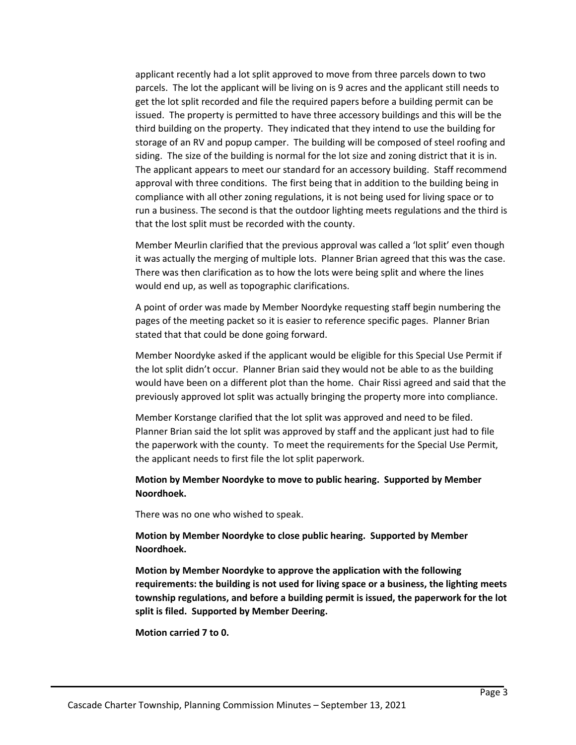applicant recently had a lot split approved to move from three parcels down to two parcels. The lot the applicant will be living on is 9 acres and the applicant still needs to get the lot split recorded and file the required papers before a building permit can be issued. The property is permitted to have three accessory buildings and this will be the third building on the property. They indicated that they intend to use the building for storage of an RV and popup camper. The building will be composed of steel roofing and siding. The size of the building is normal for the lot size and zoning district that it is in. The applicant appears to meet our standard for an accessory building. Staff recommend approval with three conditions. The first being that in addition to the building being in compliance with all other zoning regulations, it is not being used for living space or to run a business. The second is that the outdoor lighting meets regulations and the third is that the lost split must be recorded with the county.

Member Meurlin clarified that the previous approval was called a 'lot split' even though it was actually the merging of multiple lots. Planner Brian agreed that this was the case. There was then clarification as to how the lots were being split and where the lines would end up, as well as topographic clarifications.

A point of order was made by Member Noordyke requesting staff begin numbering the pages of the meeting packet so it is easier to reference specific pages. Planner Brian stated that that could be done going forward.

Member Noordyke asked if the applicant would be eligible for this Special Use Permit if the lot split didn't occur. Planner Brian said they would not be able to as the building would have been on a different plot than the home. Chair Rissi agreed and said that the previously approved lot split was actually bringing the property more into compliance.

Member Korstange clarified that the lot split was approved and need to be filed. Planner Brian said the lot split was approved by staff and the applicant just had to file the paperwork with the county. To meet the requirements for the Special Use Permit, the applicant needs to first file the lot split paperwork.

## **Motion by Member Noordyke to move to public hearing. Supported by Member Noordhoek.**

There was no one who wished to speak.

**Motion by Member Noordyke to close public hearing. Supported by Member Noordhoek.**

**Motion by Member Noordyke to approve the application with the following requirements: the building is not used for living space or a business, the lighting meets township regulations, and before a building permit is issued, the paperwork for the lot split is filed. Supported by Member Deering.**

**Motion carried 7 to 0.**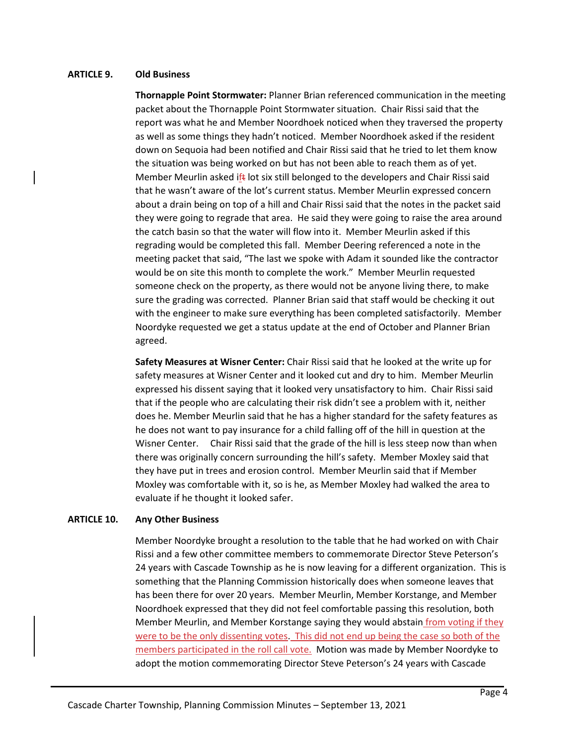### **ARTICLE 9. Old Business**

**Thornapple Point Stormwater:** Planner Brian referenced communication in the meeting packet about the Thornapple Point Stormwater situation. Chair Rissi said that the report was what he and Member Noordhoek noticed when they traversed the property as well as some things they hadn't noticed. Member Noordhoek asked if the resident down on Sequoia had been notified and Chair Rissi said that he tried to let them know the situation was being worked on but has not been able to reach them as of yet. Member Meurlin asked ift lot six still belonged to the developers and Chair Rissi said that he wasn't aware of the lot's current status. Member Meurlin expressed concern about a drain being on top of a hill and Chair Rissi said that the notes in the packet said they were going to regrade that area. He said they were going to raise the area around the catch basin so that the water will flow into it. Member Meurlin asked if this regrading would be completed this fall. Member Deering referenced a note in the meeting packet that said, "The last we spoke with Adam it sounded like the contractor would be on site this month to complete the work." Member Meurlin requested someone check on the property, as there would not be anyone living there, to make sure the grading was corrected. Planner Brian said that staff would be checking it out with the engineer to make sure everything has been completed satisfactorily. Member Noordyke requested we get a status update at the end of October and Planner Brian agreed.

**Safety Measures at Wisner Center:** Chair Rissi said that he looked at the write up for safety measures at Wisner Center and it looked cut and dry to him. Member Meurlin expressed his dissent saying that it looked very unsatisfactory to him. Chair Rissi said that if the people who are calculating their risk didn't see a problem with it, neither does he. Member Meurlin said that he has a higher standard for the safety features as he does not want to pay insurance for a child falling off of the hill in question at the Wisner Center. Chair Rissi said that the grade of the hill is less steep now than when there was originally concern surrounding the hill's safety. Member Moxley said that they have put in trees and erosion control. Member Meurlin said that if Member Moxley was comfortable with it, so is he, as Member Moxley had walked the area to evaluate if he thought it looked safer.

#### **ARTICLE 10. Any Other Business**

Member Noordyke brought a resolution to the table that he had worked on with Chair Rissi and a few other committee members to commemorate Director Steve Peterson's 24 years with Cascade Township as he is now leaving for a different organization. This is something that the Planning Commission historically does when someone leaves that has been there for over 20 years. Member Meurlin, Member Korstange, and Member Noordhoek expressed that they did not feel comfortable passing this resolution, both Member Meurlin, and Member Korstange saying they would abstain from voting if they were to be the only dissenting votes. This did not end up being the case so both of the members participated in the roll call vote. Motion was made by Member Noordyke to adopt the motion commemorating Director Steve Peterson's 24 years with Cascade